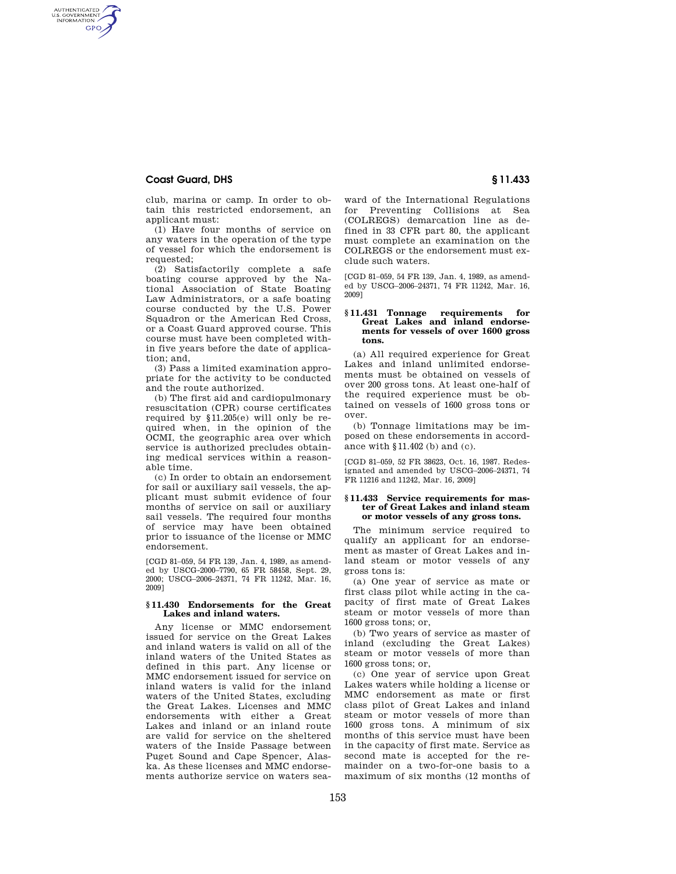# **Coast Guard, DHS § 11.433**

AUTHENTICATED<br>U.S. GOVERNMENT<br>INFORMATION **GPO** 

> club, marina or camp. In order to obtain this restricted endorsement, an applicant must:

(1) Have four months of service on any waters in the operation of the type of vessel for which the endorsement is requested;

(2) Satisfactorily complete a safe boating course approved by the National Association of State Boating Law Administrators, or a safe boating course conducted by the U.S. Power Squadron or the American Red Cross, or a Coast Guard approved course. This course must have been completed within five years before the date of application; and,

(3) Pass a limited examination appropriate for the activity to be conducted and the route authorized.

(b) The first aid and cardiopulmonary resuscitation (CPR) course certificates required by §11.205(e) will only be required when, in the opinion of the OCMI, the geographic area over which service is authorized precludes obtaining medical services within a reasonable time.

(c) In order to obtain an endorsement for sail or auxiliary sail vessels, the applicant must submit evidence of four months of service on sail or auxiliary sail vessels. The required four months of service may have been obtained prior to issuance of the license or MMC endorsement.

[CGD 81–059, 54 FR 139, Jan. 4, 1989, as amended by USCG-2000–7790, 65 FR 58458, Sept. 29, 2000; USCG–2006–24371, 74 FR 11242, Mar. 16, 2009]

### **§ 11.430 Endorsements for the Great Lakes and inland waters.**

Any license or MMC endorsement issued for service on the Great Lakes and inland waters is valid on all of the inland waters of the United States as defined in this part. Any license or MMC endorsement issued for service on inland waters is valid for the inland waters of the United States, excluding the Great Lakes. Licenses and MMC endorsements with either a Great Lakes and inland or an inland route are valid for service on the sheltered waters of the Inside Passage between Puget Sound and Cape Spencer, Alaska. As these licenses and MMC endorsements authorize service on waters sea-

ward of the International Regulations for Preventing Collisions at Sea (COLREGS) demarcation line as defined in 33 CFR part 80, the applicant must complete an examination on the COLREGS or the endorsement must exclude such waters.

[CGD 81–059, 54 FR 139, Jan. 4, 1989, as amended by USCG–2006–24371, 74 FR 11242, Mar. 16, 2009]

## **§ 11.431 Tonnage requirements for Great Lakes and inland endorsements for vessels of over 1600 gross tons.**

(a) All required experience for Great Lakes and inland unlimited endorsements must be obtained on vessels of over 200 gross tons. At least one-half of the required experience must be obtained on vessels of 1600 gross tons or over.

(b) Tonnage limitations may be imposed on these endorsements in accordance with §11.402 (b) and (c).

[CGD 81–059, 52 FR 38623, Oct. 16, 1987. Redesignated and amended by USCG–2006–24371, 74 FR 11216 and 11242, Mar. 16, 2009]

#### **§ 11.433 Service requirements for master of Great Lakes and inland steam or motor vessels of any gross tons.**

The minimum service required to qualify an applicant for an endorsement as master of Great Lakes and inland steam or motor vessels of any gross tons is:

(a) One year of service as mate or first class pilot while acting in the capacity of first mate of Great Lakes steam or motor vessels of more than 1600 gross tons; or,

(b) Two years of service as master of inland (excluding the Great Lakes) steam or motor vessels of more than 1600 gross tons; or,

(c) One year of service upon Great Lakes waters while holding a license or MMC endorsement as mate or first class pilot of Great Lakes and inland steam or motor vessels of more than 1600 gross tons. A minimum of six months of this service must have been in the capacity of first mate. Service as second mate is accepted for the remainder on a two-for-one basis to a maximum of six months (12 months of